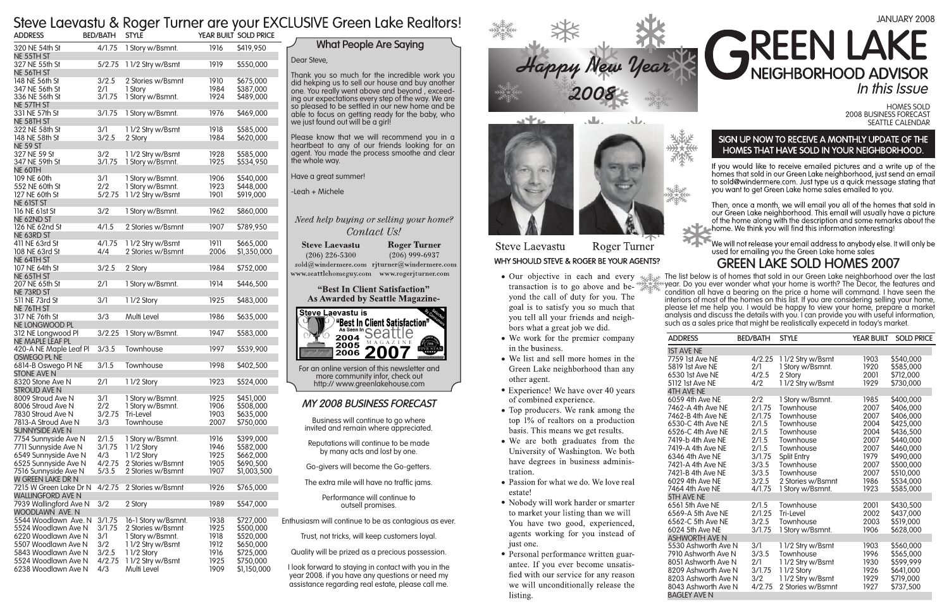



#### Roger Turner **Steve Laevastu** WHY SHOULD STEVE & ROGER BE YOUR AGENTS?

- Our objective in each and every transaction is to go above and beyond the call of duty for you. The goal is to satisfy you so much that you tell all your friends and neighbors what a great job we did.
- We work for the premier company in the business.
- We list and sell more homes in the Green Lake neighborhood than any other agent.
- Experience! We have over 40 years of combined experience.
- Top producers. We rank among the top  $1\%$  of realtors on a production basis. This means we get results.
- We are both graduates from the University of Washington. We both have degrees in business administration.
- Passion for what we do. We love real estate!
- Nobody will work harder or smarter to market your listing than we will You have two good, experienced, agents working for you instead of just one.
- Personal performance written guarantee. If you ever become unsatisfied with our service for any reason we will unconditionally release the listing.

Homes Sold 2008 Business Forecast Seattle Calendar

### SIGN UP NOW TO RECEIVE A MONTHLY UPDATE OF THE HOMES THAT HAVE SOLD IN YOUR NEIGHBORHOOD.

If you would like to receive emailed pictures and a write up of the homes that sold in our Green Lake neighborhood, just send an email to sold@windermere.com. Just type us a quick message stating that you want to get Green Lake home sales emailed to you.

Then, once a month, we will email you all of the homes that sold in<br>our Green Lake neighborhood. This email will usually have a picture of the home along with the description and some remarks about the home. We think you will find this information interesting!

We will not release your email address to anybody else. It will only be used for emailing you the Green Lake home sales

## *My 2008 Business Forecast*

Business will continue to go where invited and remain where appreciated.

Reputations will continue to be made by many acts and lost by one.

Go-givers will become the Go-getters.

The extra mile will have no traffic jams.

Performance will continue to outsell promises.

Thank you so much for the incredible work you did hekping us to sell our house and buy another<br>one. You really went above and beyond, exceeding our expectations every step of the way. We are so pleased to be settled in our new home and be able to focus on getting ready for the baby, who we just found out will be a girl!

Enthusiasm will continue to be as contagious as ever.

Trust, not tricks, will keep customers loyal.

Quality will be prized as a precious possession.

I look forward to staying in contact with you in the year 2008. if you have any questions or need my assistance regarding real estate, please call me.

For an online version of this newsletter and more community infor, check out http:// www.greenlakehouse.com

Dear Steve,

Please know that we will recommend you in a heartbeat to any of our friends looking for an agent. You made the process smoothe and clear the whole way.

Have a great summer!

-Leah + Michele

## Need help buying or selling your home? Contact Us!

| <b>Steve Laevastu</b>  | <b>Roger Turner</b>                        |
|------------------------|--------------------------------------------|
| $(206)$ 226-5300       | $(206)$ 999-6937                           |
|                        | sold@windermere.com rjturner@windermere.co |
| www.seattlehomeguy.com | www.rogerjturner.com                       |

### "Best In Client Satisfaction" **As Awarded by Seattle Magazine-**



# **What People Are Saying**

The list below is of homes that sold in our Green Lake neighborhood over the last year. Do you ever wonder what your home is worth? The Decor, the features and condition all have a bearing on the price a home will command. I have seen the interiors of most of the homes on this list. If you are considering selling your home, please let me help you. I would be happy to view your home, prepare a market analysis and discuss the details with you. I can provide you with useful information, such as a sales price that might be realistically expecetd in today's market.

4TH AVE<br>6059 4th 5TH AVE ASHWOR<br>5530 Ash

# January 2008 **AREEN LA** NEIGHBORHOOD ADVISOR In this Issue

| <b>ADDRESS</b>                                                                                                                                                                                                                                                | <b>BED/BATH</b>                                                                                            | <b>STYLE</b>                                                                                                                                                                     | <b>YEAR BUILT</b>                                                                            | <b>SOLD PRICE</b>                                                                                                                                        |
|---------------------------------------------------------------------------------------------------------------------------------------------------------------------------------------------------------------------------------------------------------------|------------------------------------------------------------------------------------------------------------|----------------------------------------------------------------------------------------------------------------------------------------------------------------------------------|----------------------------------------------------------------------------------------------|----------------------------------------------------------------------------------------------------------------------------------------------------------|
| <b>IST AVE NE</b>                                                                                                                                                                                                                                             |                                                                                                            |                                                                                                                                                                                  |                                                                                              |                                                                                                                                                          |
| 7759 1st Ave NE<br>5819 1st Ave NE<br>6530 1st Ave NE<br>5112 1st Ave NE<br><b>4TH AVE NE</b>                                                                                                                                                                 | 4/2.25<br>2/1<br>4/2.5<br>4/2                                                                              | 11/2 Stry w/Bsmt<br>1 Story w/Bsmnt.<br>2 Story<br>11/2 Stry w/Bsmt                                                                                                              | 1903<br>1920<br>2001<br>1929                                                                 | \$540,000<br>\$585,000<br>\$712,000<br>\$730,000                                                                                                         |
| 6059 4th Ave NE<br>7462-A 4th Ave NE<br>7462-B 4th Ave NE<br>6530-C 4th Ave NE<br>6526-C 4th Ave NE<br>7419-b 4th Ave NE<br>7419-A 4th Ave NE<br>6346 4th Ave NE<br>7421-A 4th Ave NE<br>7421-B 4th Ave NE<br>6029 4th Ave NE<br>7464 4th Ave NE              | 2/2<br>2/1.75<br>2/1.75<br>2/1.5<br>2/1.5<br>2/1.5<br>2/1.5<br>3/1.75<br>3/3.5<br>3/3.5<br>3/2.5<br>4/1.75 | 1 Story w/Bsmnt.<br>Townhouse<br>Townhouse<br>Townhouse<br>Townhouse<br>Townhouse<br>Townhouse<br>Split Entry<br>Townhouse<br>Townhouse<br>2 Stories w/Bsmnt<br>1 Story w/Bsmnt. | 1985<br>2007<br>2007<br>2004<br>2004<br>2007<br>2007<br>1979<br>2007<br>2007<br>1986<br>1923 | \$400,000<br>\$406,000<br>\$406,000<br>\$425,000<br>\$436,500<br>\$440,000<br>\$460,000<br>\$490,000<br>\$500,000<br>\$510,000<br>\$534,000<br>\$585,000 |
| 5TH AVE NE<br>6561 5th Ave NE<br>6569-A 5th Ave NE<br>6562-C 5th Ave NE<br>6024 5th Ave NE<br><b>ASHWORTH AVE N</b><br>5530 Ashworth Ave N<br>7910 Ashworth Ave N<br>8051 Ashworth Ave N<br>8209 Ashworth Ave N<br>8203 Ashworth Ave N<br>8043 Ashworth Ave N | 2/1.5<br>2/1.25<br>3/2.5<br>3/1.75<br>3/1<br>3/3.5<br>2/1<br>3/1.75<br>3/2<br>4/2.75                       | Townhouse<br>Tri-Level<br>Townhouse<br>1 Story w/Bsmnt.<br>11/2 Stry w/Bsmt<br>Townhouse<br>11/2 Stry w/Bsmt<br>11/2 Story<br>11/2 Stry w/Bsmt<br>2 Stories w/Bsmnt              | 2001<br>2002<br>2003<br>1906<br>1903<br>1996<br>1930<br>1926<br>1929<br>1927                 | \$430,500<br>\$437,000<br>\$519,000<br>\$628,000<br>\$560,000<br>\$565,000<br>\$599,999<br>\$641,000<br>\$719,000<br>\$737,500                           |

# **GREEN LAKE SOLD HOMES 2007**

# Steve Laevastu & Roger Turner are your EXCLUSIVE Green Lake Realtors!

| <b>ADDRESS</b>                                     | <b>BED/BATH</b> | <b>STYLE</b>                  |              | YEAR BUILT SOLD PRICE  |
|----------------------------------------------------|-----------------|-------------------------------|--------------|------------------------|
| 320 NE 54th St<br>NE 55TH ST                       | 4/1.75          | 1 Story w/Bsmnt.              | 1916         | \$419,950              |
| 327 NE 55th St<br>NE 56TH ST                       | 5/2.75          | 11/2 Stry w/Bsmt              | 1919         | \$550,000              |
| 148 NE 56th St                                     | 3/2.5           | 2 Stories w/Bsmnt             | 1910         | \$675,000              |
| 347 NE 56th St                                     | 2/1             | 1 Story                       | 1984         | \$387,000              |
| 336 NE 56th St                                     | 3/1.75          | 1 Story w/Bsmnt.              | 1924         | \$489,000              |
| NE 57TH ST                                         |                 |                               |              |                        |
| 331 NE 57th St<br>NE 58TH ST                       | 3/1.75          | 1 Story w/Bsmnt.              | 1976         | \$469,000              |
| 322 NE 58th St                                     | 3/1             | 11/2 Stry w/Bsmt              | 1918         | \$585,000              |
| 148 NE 58th St                                     | 3/2.5           | 2 Story                       | 1984         | \$620,000              |
| <b>NE 59 ST</b>                                    |                 |                               |              |                        |
| 327 NE 59 St                                       | 3/2             | 11/2 Stry w/Bsmt              | 1928         | \$585,000              |
| 347 NE 59th St                                     | 3/1.75          | 1 Story w/Bsmnt.              | 1925         | \$534,950              |
| NE 60TH                                            |                 |                               |              |                        |
| 109 NE 60th                                        | 3/1             | 1 Story w/Bsmnt.              | 1906         | \$540,000              |
| 552 NE 60th St                                     | 2/2             | 1 Story w/Bsmnt.              | 1923         | \$448,000              |
| 127 NE 60th St<br>NE 61ST ST                       | 5/2.75          | 11/2 Stry w/Bsmt              | 1901         | \$919,000              |
| 116 NE 61st St                                     | 3/2             | 1 Story w/Bsmnt.              | 1962         | \$860,000              |
| NE 62ND ST                                         |                 |                               |              |                        |
| 126 NE 62nd St                                     | 4/1.5           | 2 Stories w/Bsmnt             | 1907         | \$789,950              |
| NE 63RD ST                                         |                 |                               |              |                        |
| 411 NE 63rd St                                     | 4/1.75          | 11/2 Stry w/Bsmt              | 1911         | \$665,000              |
| 108 NE 63rd St                                     | 4/4             | 2 Stories w/Bsmnt             | 2006         | \$1,350,000            |
| NE 64TH ST                                         |                 |                               |              |                        |
| 107 NE 64th St                                     | 3/2.5           | 2 Story                       | 1984         | \$752,000              |
| NE 65TH ST<br>207 NE 65th St                       | 2/1             | 1 Story w/Bsmnt.              | 1914         | \$446,500              |
| NE 73RD ST                                         |                 |                               |              |                        |
| 511 NE 73rd St                                     | 3/1             | 11/2 Story                    | 1925         | \$483,000              |
| NE 76TH ST                                         |                 |                               |              |                        |
| 317 NE 76th St                                     | 3/3             | Multi Level                   | 1986         | \$635,000              |
| NE LONGWOOD PL                                     |                 |                               |              |                        |
| 312 NE Longwood Pl<br>NE MAPLE LEAF PL             | 3/2.25          | 1 Story w/Bsmnt.              | 1947         | \$583,000              |
| 420-A NE Maple Leaf Pl                             | 3/3.5           | Townhouse                     | 1997         | \$539,900              |
| OSWEGO PL NE                                       |                 |                               |              |                        |
| 6814-B Oswego PI NE                                | 3/1.5           | Townhouse                     | 1998         | \$402,500              |
| <b>STONE AVE N</b>                                 |                 |                               |              |                        |
| 8320 Stone Ave N                                   | 2/1             | 11/2 Story                    | 1923         | \$524,000              |
| <b>STROUD AVE N</b>                                |                 |                               |              |                        |
| 8009 Stroud Ave N                                  | 3/1             | 1 Story w/Bsmnt.              | 1925         | \$451,000              |
| 8006 Stroud Ave N<br>7830 Stroud Ave N             | 2/2<br>3/2.75   | 1 Story w/Bsmnt.<br>Tri-Level | 1906<br>1903 | \$508,000<br>\$635,000 |
| 7813-A Stroud Ave N                                | 3/3             | Townhouse                     | 2007         | \$750,000              |
| SUNNYSIDE AVE N                                    |                 |                               |              |                        |
| 7754 Sunnyside Ave N                               | 2/1.5           | 1 Story w/Bsmnt.              | 1916         | \$399,000              |
| 7711 Sunnyside Ave N                               | 3/1.75          | 11/2 Story                    | 1946         | \$582,000              |
| 6549 Sunnyside Ave N                               | 4/3             | 11/2 Story                    | 1925         | \$662,000              |
| 6525 Sunnyside Ave N                               | 4/2.75          | 2 Stories w/Bsmnt             | 1905         | \$690,500              |
| 7516 Sunnyside Ave N                               | 5/3.5           | 2 Stories w/Bsmnt             | 1907         | \$1,003,500            |
| W GREEN LAKE DR N                                  |                 |                               |              |                        |
| 7215 W Green Lake Dr N<br><b>WALLINGFORD AVE N</b> | 4/2.75          | 2 Stories w/Bsmnt             | 1926         | \$765,000              |
| 7939 Wallingford Ave N                             | 3/2             | 2 Story                       | 1989         | \$547,000              |
| WOODLAWN AVE. N                                    |                 |                               |              |                        |
| 5544 Woodlawn Ave. N                               | 3/1.75          | 16-1 Story w/Bsmnt.           | 1938         | \$727,000              |
| 5524 Woodlawn Ave N                                | 3/1.75          | 2 Stories w/Bsmnt             | 1925         | \$500,000              |
| 6220 Woodlawn Ave N                                | 3/1             | 1 Story w/Bsmnt.              | 1918         | \$520,000              |
| 5507 Woodlawn Ave N                                | 3/2             | 11/2 Stry w/Bsmt              | 1912         | \$650,000              |
| 5843 Woodlawn Ave N                                | 3/2.5           | 11/2 Story                    | 1916         | \$725,000              |
| 5524 Woodlawn Ave N                                | 4/2.75          | 11/2 Stry w/Bsmt              | 1925         | \$750,000              |
| 6238 Woodlawn Ave N                                | 4/3             | Multi Level                   | 1909         | \$1,150,000            |